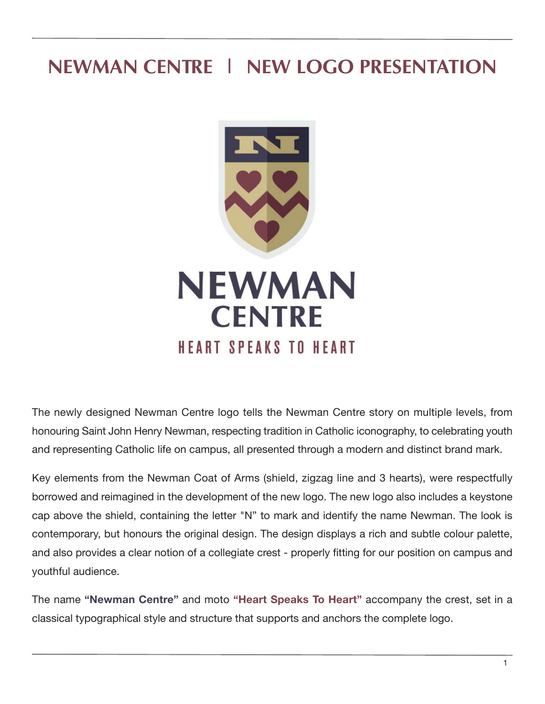# **NEWMAN CENTRE | NEW LOGO PRESENTATION**



The newly designed Newman Centre logo tells the Newman Centre story on multiple levels, from honouring Saint John Henry Newman, respecting tradition in Catholic iconography, to celebrating youth and representing Catholic life on campus, all presented through a modern and distinct brand mark.

Key elements from the Newman Coat of Arms (shield, zigzag line and 3 hearts), were respectfully borrowed and reimagined in the development of the new logo. The new logo also includes a keystone cap above the shield, containing the letter "N" to mark and identify the name Newman. The look is contemporary, but honours the original design. The design displays a rich and subtle colour palette, and also provides a clear notion of a collegiate crest - properly fitting for our position on campus and youthful audience.

The name **"Newman Centre"** and moto **"Heart Speaks To Heart"** accompany the crest, set in a classical typographical style and structure that supports and anchors the complete logo.